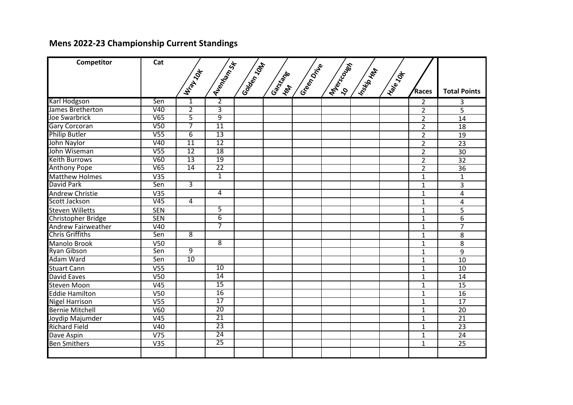## **Mens 2022-23 Championship Current Standings**

| Competitor                | Cat              |                 |                 |              |                          |               |                  |              |           |                |                     |
|---------------------------|------------------|-----------------|-----------------|--------------|--------------------------|---------------|------------------|--------------|-----------|----------------|---------------------|
|                           |                  |                 |                 |              |                          |               |                  |              |           |                |                     |
|                           |                  |                 |                 |              |                          |               |                  |              |           |                |                     |
|                           |                  | William Jok     | Aventage        | I Golden 10M | I Gartigate<br><b>KN</b> | I Green Drive | <b>IMPROCESS</b> | Insertioning | INSIR TON | <b>Races</b>   | <b>Total Points</b> |
| Karl Hodgson              | Sen              | 1               | $\overline{2}$  |              |                          |               |                  |              |           | $\overline{2}$ | 3                   |
| James Bretherton          | V40              | $\overline{2}$  | $\overline{3}$  |              |                          |               |                  |              |           | $\overline{2}$ | 5                   |
| Joe Swarbrick             | V65              | $\overline{5}$  | $\overline{9}$  |              |                          |               |                  |              |           | $\overline{2}$ | 14                  |
| <b>Gary Corcoran</b>      | V <sub>50</sub>  | 7               | $\overline{11}$ |              |                          |               |                  |              |           | $\overline{2}$ | 18                  |
| <b>Philip Butler</b>      | V <sub>55</sub>  | $\overline{6}$  | $\overline{13}$ |              |                          |               |                  |              |           | $\overline{2}$ | 19                  |
| John Naylor               | V40              | $\overline{11}$ | $\overline{12}$ |              |                          |               |                  |              |           | $\overline{2}$ | 23                  |
| John Wiseman              | $\overline{V55}$ | $\overline{12}$ | 18              |              |                          |               |                  |              |           | $\overline{2}$ | 30                  |
| <b>Keith Burrows</b>      | V60              | 13              | 19              |              |                          |               |                  |              |           | $\overline{2}$ | 32                  |
| <b>Anthony Pope</b>       | V65              | 14              | $\overline{22}$ |              |                          |               |                  |              |           | $\overline{2}$ | $\overline{36}$     |
| <b>Matthew Holmes</b>     | V35              |                 | $\overline{1}$  |              |                          |               |                  |              |           | $\mathbf{1}$   | $\mathbf{1}$        |
| David Park                | Sen              | $\overline{3}$  |                 |              |                          |               |                  |              |           | $\mathbf{1}$   | $\overline{3}$      |
| <b>Andrew Christie</b>    | V35              |                 | 4               |              |                          |               |                  |              |           | $\mathbf{1}$   | 4                   |
| Scott Jackson             | V45              | $\overline{4}$  |                 |              |                          |               |                  |              |           | $\mathbf{1}$   | 4                   |
| <b>Steven Willetts</b>    | <b>SEN</b>       |                 | 5               |              |                          |               |                  |              |           | $\mathbf{1}$   | 5                   |
| Christopher Bridge        | <b>SEN</b>       |                 | $\overline{6}$  |              |                          |               |                  |              |           | $\mathbf{1}$   | 6                   |
| <b>Andrew Fairweather</b> | V40              |                 | 7               |              |                          |               |                  |              |           | $\mathbf{1}$   | $\overline{7}$      |
| <b>Chris Griffiths</b>    | Sen              | $\overline{8}$  |                 |              |                          |               |                  |              |           | $\mathbf{1}$   | 8                   |
| <b>Manolo Brook</b>       | V50              |                 | 8               |              |                          |               |                  |              |           | $\mathbf{1}$   | 8                   |
| <b>Ryan Gibson</b>        | Sen              | 9               |                 |              |                          |               |                  |              |           | $\mathbf{1}$   | 9                   |
| <b>Adam Ward</b>          | Sen              | 10              |                 |              |                          |               |                  |              |           | $\mathbf{1}$   | 10                  |
| <b>Stuart Cann</b>        | V <sub>55</sub>  |                 | 10              |              |                          |               |                  |              |           | $\mathbf 1$    | 10                  |
| <b>David Eaves</b>        | V50              |                 | $\overline{14}$ |              |                          |               |                  |              |           | $\mathbf{1}$   | 14                  |
| Steven Moon               | V <sub>45</sub>  |                 | $\overline{15}$ |              |                          |               |                  |              |           | $\mathbf{1}$   | 15                  |
| <b>Eddie Hamilton</b>     | V <sub>50</sub>  |                 | 16              |              |                          |               |                  |              |           | $\mathbf{1}$   | 16                  |
| <b>Nigel Harrison</b>     | V <sub>55</sub>  |                 | 17              |              |                          |               |                  |              |           | $\mathbf{1}$   | 17                  |
| <b>Bernie Mitchell</b>    | V60              |                 | $\overline{20}$ |              |                          |               |                  |              |           | $\mathbf{1}$   | 20                  |
| Joydip Majumder           | V45              |                 | $\overline{21}$ |              |                          |               |                  |              |           | $\mathbf{1}$   | $\overline{21}$     |
| <b>Richard Field</b>      | V40              |                 | $\overline{23}$ |              |                          |               |                  |              |           | $\mathbf{1}$   | 23                  |
| Dave Aspin                | V <sub>75</sub>  |                 | 24              |              |                          |               |                  |              |           | $\mathbf 1$    | 24                  |
| <b>Ben Smithers</b>       | V35              |                 | $\overline{25}$ |              |                          |               |                  |              |           | $\mathbf{1}$   | 25                  |
|                           |                  |                 |                 |              |                          |               |                  |              |           |                |                     |